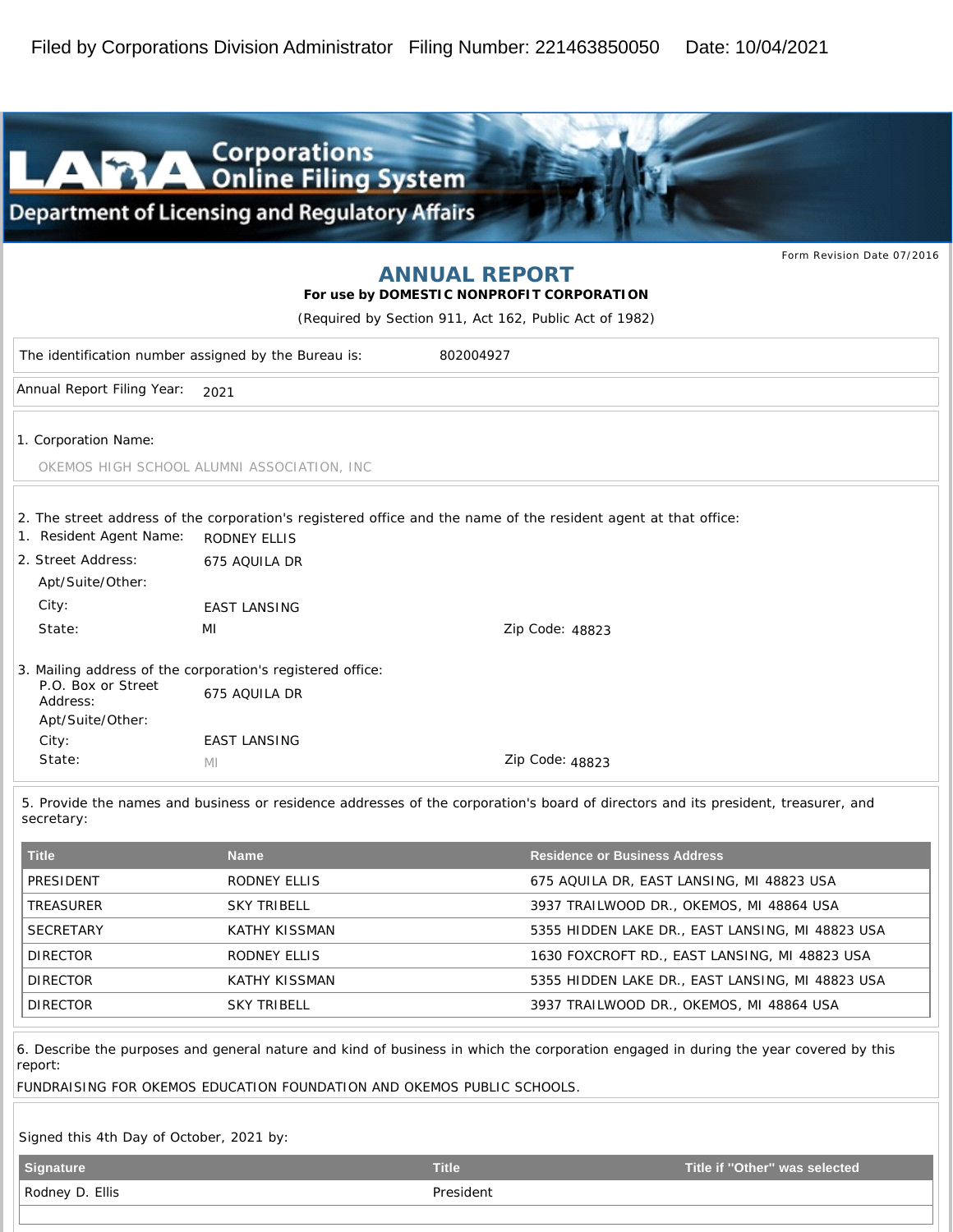

|                                                                   |                                                            |                                                                                                                                   | Form Revision Date 07/2016 |  |  |
|-------------------------------------------------------------------|------------------------------------------------------------|-----------------------------------------------------------------------------------------------------------------------------------|----------------------------|--|--|
|                                                                   |                                                            | <b>ANNUAL REPORT</b>                                                                                                              |                            |  |  |
|                                                                   |                                                            | For use by DOMESTIC NONPROFIT CORPORATION                                                                                         |                            |  |  |
| (Required by Section 911, Act 162, Public Act of 1982)            |                                                            |                                                                                                                                   |                            |  |  |
| The identification number assigned by the Bureau is:<br>802004927 |                                                            |                                                                                                                                   |                            |  |  |
| Annual Report Filing Year:                                        | 2021                                                       |                                                                                                                                   |                            |  |  |
| 1. Corporation Name:                                              |                                                            |                                                                                                                                   |                            |  |  |
|                                                                   | OKEMOS HIGH SCHOOL ALUMNI ASSOCIATION, INC                 |                                                                                                                                   |                            |  |  |
| 1. Resident Agent Name:                                           | <b>RODNEY ELLIS</b>                                        | 2. The street address of the corporation's registered office and the name of the resident agent at that office:                   |                            |  |  |
| 2. Street Address:<br>Apt/Suite/Other:                            | 675 AQUILA DR                                              |                                                                                                                                   |                            |  |  |
| City:                                                             | <b>EAST LANSING</b>                                        |                                                                                                                                   |                            |  |  |
| State:                                                            | MI                                                         | Zip Code: 48823                                                                                                                   |                            |  |  |
|                                                                   | 3. Mailing address of the corporation's registered office: |                                                                                                                                   |                            |  |  |
| P.O. Box or Street<br>Address:<br>Apt/Suite/Other:                | 675 AQUILA DR                                              |                                                                                                                                   |                            |  |  |
| City:                                                             | <b>EAST LANSING</b>                                        |                                                                                                                                   |                            |  |  |
| State:                                                            | MI                                                         | Zip Code: 48823                                                                                                                   |                            |  |  |
|                                                                   |                                                            | 5. Provide the names and husiness or residence addresses of the cornoration's hoard of directors and its president treasurer, and |                            |  |  |

5. Provide the names and business or residence addresses of the corporation's board of directors and its president, treasurer, and secretary:

| <b>Title</b>     | <b>Name</b>        | <b>Residence or Business Address</b>             |
|------------------|--------------------|--------------------------------------------------|
| PRESIDENT        | RODNEY ELLIS       | 675 AQUILA DR, EAST LANSING, MI 48823 USA        |
| TREASURER        | <b>SKY TRIBELL</b> | 3937 TRAILWOOD DR., OKEMOS, MI 48864 USA         |
| <b>SECRETARY</b> | KATHY KISSMAN      | 5355 HIDDEN LAKE DR., EAST LANSING, MI 48823 USA |
| <b>DIRECTOR</b>  | RODNEY ELLIS       | 1630 FOXCROFT RD., EAST LANSING, MI 48823 USA    |
| <b>DIRECTOR</b>  | KATHY KISSMAN      | 5355 HIDDEN LAKE DR., EAST LANSING, MI 48823 USA |
| <b>DIRECTOR</b>  | <b>SKY TRIBELL</b> | 3937 TRAILWOOD DR., OKEMOS, MI 48864 USA         |

6. Describe the purposes and general nature and kind of business in which the corporation engaged in during the year covered by this report:

FUNDRAISING FOR OKEMOS EDUCATION FOUNDATION AND OKEMOS PUBLIC SCHOOLS.

Signed this 4th Day of October, 2021 by:

| Signature       | <b>Title</b> | Title if "Other" was selected |
|-----------------|--------------|-------------------------------|
| Rodney D. Ellis | President    |                               |
|                 |              |                               |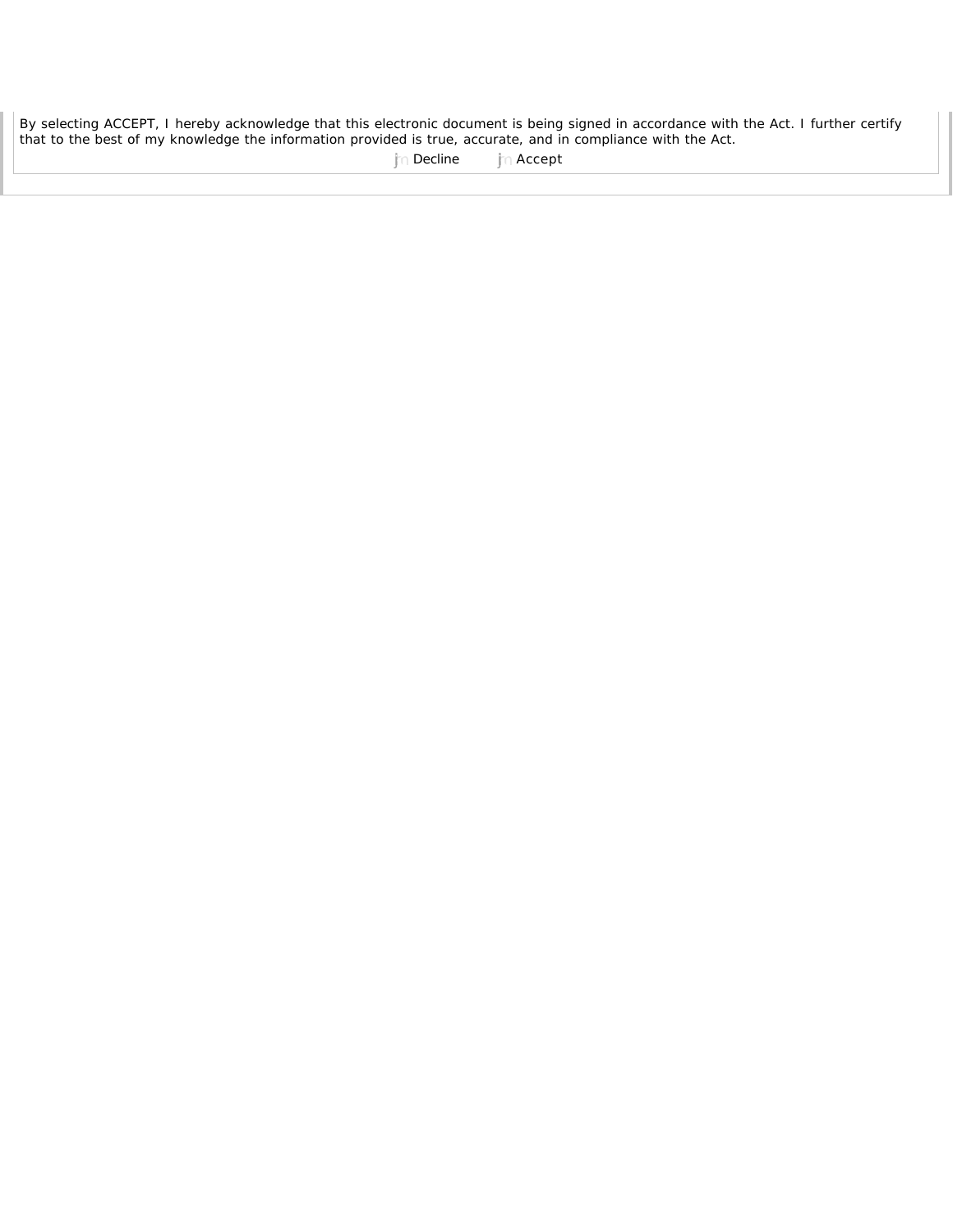By selecting ACCEPT, I hereby acknowledge that this electronic document is being signed in accordance with the Act. I further certify that to the best of my knowledge the information provided is true, accurate, and in compliance with the Act.

jm Decline in Accept